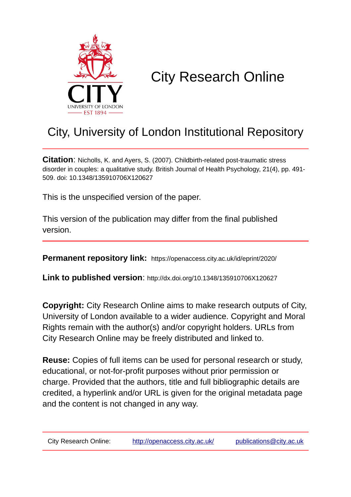

# City Research Online

## City, University of London Institutional Repository

**Citation**: Nicholls, K. and Ayers, S. (2007). Childbirth-related post-traumatic stress disorder in couples: a qualitative study. British Journal of Health Psychology, 21(4), pp. 491- 509. doi: 10.1348/135910706X120627

This is the unspecified version of the paper.

This version of the publication may differ from the final published version.

**Permanent repository link:** https://openaccess.city.ac.uk/id/eprint/2020/

**Link to published version**: http://dx.doi.org/10.1348/135910706X120627

**Copyright:** City Research Online aims to make research outputs of City, University of London available to a wider audience. Copyright and Moral Rights remain with the author(s) and/or copyright holders. URLs from City Research Online may be freely distributed and linked to.

**Reuse:** Copies of full items can be used for personal research or study, educational, or not-for-profit purposes without prior permission or charge. Provided that the authors, title and full bibliographic details are credited, a hyperlink and/or URL is given for the original metadata page and the content is not changed in any way.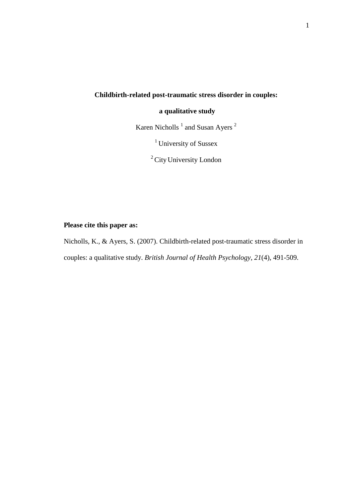## **Childbirth-related post-traumatic stress disorder in couples:**

### **a qualitative study**

Karen Nicholls  $<sup>1</sup>$  and Susan Ayers  $<sup>2</sup>$ </sup></sup>

<sup>1</sup> University of Sussex

<sup>2</sup> City University London

## **Please cite this paper as:**

Nicholls, K., & Ayers, S. (2007). Childbirth-related post-traumatic stress disorder in couples: a qualitative study. *British Journal of Health Psychology*, *21*(4), 491-509.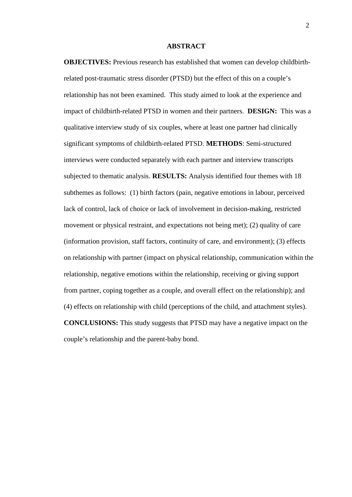#### **ABSTRACT**

**OBJECTIVES:** Previous research has established that women can develop childbirthrelated post-traumatic stress disorder (PTSD) but the effect of this on a couple's relationship has not been examined. This study aimed to look at the experience and impact of childbirth-related PTSD in women and their partners. **DESIGN:** This was a qualitative interview study of six couples, where at least one partner had clinically significant symptoms of childbirth-related PTSD. **METHODS**: Semi-structured interviews were conducted separately with each partner and interview transcripts subjected to thematic analysis. **RESULTS:** Analysis identified four themes with 18 subthemes as follows: (1) birth factors (pain, negative emotions in labour, perceived lack of control, lack of choice or lack of involvement in decision-making, restricted movement or physical restraint, and expectations not being met); (2) quality of care (information provision, staff factors, continuity of care, and environment); (3) effects on relationship with partner (impact on physical relationship, communication within the relationship, negative emotions within the relationship, receiving or giving support from partner, coping together as a couple, and overall effect on the relationship); and (4) effects on relationship with child (perceptions of the child, and attachment styles). **CONCLUSIONS:** This study suggests that PTSD may have a negative impact on the couple's relationship and the parent-baby bond.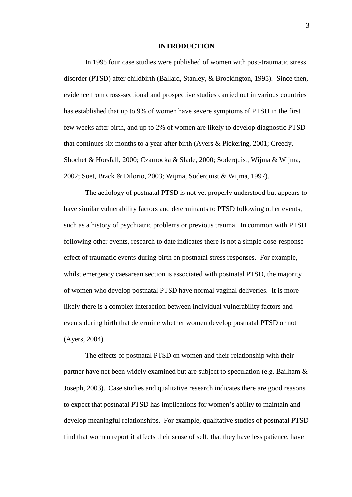#### **INTRODUCTION**

In 1995 four case studies were published of women with post-traumatic stress disorder (PTSD) after childbirth (Ballard, Stanley, & Brockington, 1995). Since then, evidence from cross-sectional and prospective studies carried out in various countries has established that up to 9% of women have severe symptoms of PTSD in the first few weeks after birth, and up to 2% of women are likely to develop diagnostic PTSD that continues six months to a year after birth (Ayers & Pickering, 2001; Creedy, Shochet & Horsfall, 2000; Czarnocka & Slade, 2000; Soderquist, Wijma & Wijma, 2002; Soet, Brack & Dilorio, 2003; Wijma, Soderquist & Wijma, 1997).

The aetiology of postnatal PTSD is not yet properly understood but appears to have similar vulnerability factors and determinants to PTSD following other events, such as a history of psychiatric problems or previous trauma. In common with PTSD following other events, research to date indicates there is not a simple dose-response effect of traumatic events during birth on postnatal stress responses. For example, whilst emergency caesarean section is associated with postnatal PTSD, the majority of women who develop postnatal PTSD have normal vaginal deliveries. It is more likely there is a complex interaction between individual vulnerability factors and events during birth that determine whether women develop postnatal PTSD or not (Ayers, 2004).

The effects of postnatal PTSD on women and their relationship with their partner have not been widely examined but are subject to speculation (e.g. Bailham & Joseph, 2003). Case studies and qualitative research indicates there are good reasons to expect that postnatal PTSD has implications for women's ability to maintain and develop meaningful relationships. For example, qualitative studies of postnatal PTSD find that women report it affects their sense of self, that they have less patience, have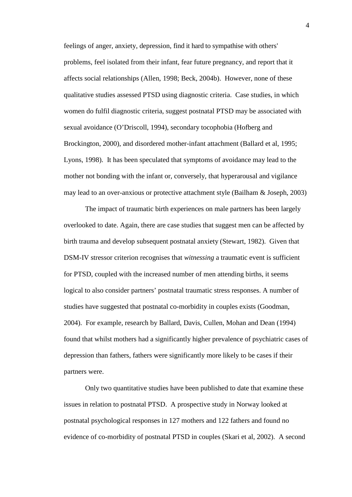feelings of anger, anxiety, depression, find it hard to sympathise with others' problems, feel isolated from their infant, fear future pregnancy, and report that it affects social relationships (Allen, 1998; Beck, 2004b). However, none of these qualitative studies assessed PTSD using diagnostic criteria. Case studies, in which women do fulfil diagnostic criteria, suggest postnatal PTSD may be associated with sexual avoidance (O'Driscoll, 1994), secondary tocophobia (Hofberg and Brockington, 2000), and disordered mother-infant attachment (Ballard et al, 1995; Lyons, 1998). It has been speculated that symptoms of avoidance may lead to the mother not bonding with the infant or, conversely, that hyperarousal and vigilance may lead to an over-anxious or protective attachment style (Bailham & Joseph, 2003)

The impact of traumatic birth experiences on male partners has been largely overlooked to date. Again, there are case studies that suggest men can be affected by birth trauma and develop subsequent postnatal anxiety (Stewart, 1982). Given that DSM-IV stressor criterion recognises that *witnessing* a traumatic event is sufficient for PTSD, coupled with the increased number of men attending births, it seems logical to also consider partners' postnatal traumatic stress responses. A number of studies have suggested that postnatal co-morbidity in couples exists (Goodman, 2004). For example, research by Ballard, Davis, Cullen, Mohan and Dean (1994) found that whilst mothers had a significantly higher prevalence of psychiatric cases of depression than fathers, fathers were significantly more likely to be cases if their partners were.

Only two quantitative studies have been published to date that examine these issues in relation to postnatal PTSD. A prospective study in Norway looked at postnatal psychological responses in 127 mothers and 122 fathers and found no evidence of co-morbidity of postnatal PTSD in couples (Skari et al, 2002). A second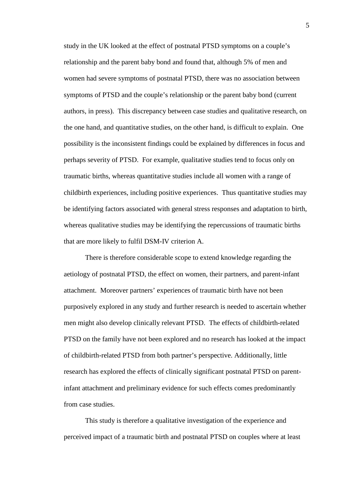study in the UK looked at the effect of postnatal PTSD symptoms on a couple's relationship and the parent baby bond and found that, although 5% of men and women had severe symptoms of postnatal PTSD, there was no association between symptoms of PTSD and the couple's relationship or the parent baby bond (current authors, in press). This discrepancy between case studies and qualitative research, on the one hand, and quantitative studies, on the other hand, is difficult to explain. One possibility is the inconsistent findings could be explained by differences in focus and perhaps severity of PTSD. For example, qualitative studies tend to focus only on traumatic births, whereas quantitative studies include all women with a range of childbirth experiences, including positive experiences. Thus quantitative studies may be identifying factors associated with general stress responses and adaptation to birth, whereas qualitative studies may be identifying the repercussions of traumatic births that are more likely to fulfil DSM-IV criterion A.

There is therefore considerable scope to extend knowledge regarding the aetiology of postnatal PTSD, the effect on women, their partners, and parent-infant attachment. Moreover partners' experiences of traumatic birth have not been purposively explored in any study and further research is needed to ascertain whether men might also develop clinically relevant PTSD. The effects of childbirth-related PTSD on the family have not been explored and no research has looked at the impact of childbirth-related PTSD from both partner's perspective. Additionally, little research has explored the effects of clinically significant postnatal PTSD on parentinfant attachment and preliminary evidence for such effects comes predominantly from case studies.

This study is therefore a qualitative investigation of the experience and perceived impact of a traumatic birth and postnatal PTSD on couples where at least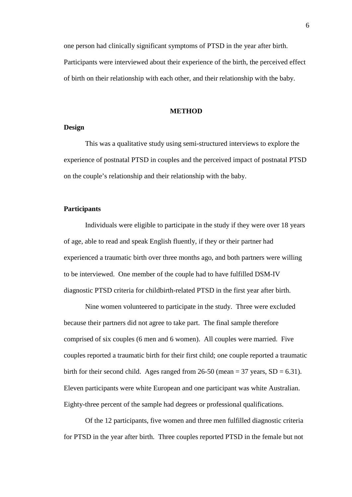one person had clinically significant symptoms of PTSD in the year after birth. Participants were interviewed about their experience of the birth, the perceived effect of birth on their relationship with each other, and their relationship with the baby.

#### **METHOD**

#### **Design**

This was a qualitative study using semi-structured interviews to explore the experience of postnatal PTSD in couples and the perceived impact of postnatal PTSD on the couple's relationship and their relationship with the baby.

#### **Participants**

Individuals were eligible to participate in the study if they were over 18 years of age, able to read and speak English fluently, if they or their partner had experienced a traumatic birth over three months ago, and both partners were willing to be interviewed. One member of the couple had to have fulfilled DSM-IV diagnostic PTSD criteria for childbirth-related PTSD in the first year after birth.

Nine women volunteered to participate in the study. Three were excluded because their partners did not agree to take part. The final sample therefore comprised of six couples (6 men and 6 women). All couples were married. Five couples reported a traumatic birth for their first child; one couple reported a traumatic birth for their second child. Ages ranged from  $26-50$  (mean = 37 years,  $SD = 6.31$ ). Eleven participants were white European and one participant was white Australian. Eighty-three percent of the sample had degrees or professional qualifications.

Of the 12 participants, five women and three men fulfilled diagnostic criteria for PTSD in the year after birth. Three couples reported PTSD in the female but not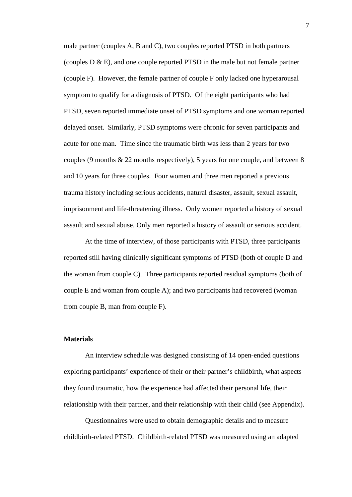male partner (couples A, B and C), two couples reported PTSD in both partners (couples D & E), and one couple reported PTSD in the male but not female partner (couple F). However, the female partner of couple F only lacked one hyperarousal symptom to qualify for a diagnosis of PTSD. Of the eight participants who had PTSD, seven reported immediate onset of PTSD symptoms and one woman reported delayed onset. Similarly, PTSD symptoms were chronic for seven participants and acute for one man. Time since the traumatic birth was less than 2 years for two couples (9 months & 22 months respectively), 5 years for one couple, and between 8 and 10 years for three couples. Four women and three men reported a previous trauma history including serious accidents, natural disaster, assault, sexual assault, imprisonment and life-threatening illness. Only women reported a history of sexual assault and sexual abuse. Only men reported a history of assault or serious accident.

At the time of interview, of those participants with PTSD, three participants reported still having clinically significant symptoms of PTSD (both of couple D and the woman from couple C). Three participants reported residual symptoms (both of couple E and woman from couple A); and two participants had recovered (woman from couple B, man from couple F).

#### **Materials**

An interview schedule was designed consisting of 14 open-ended questions exploring participants' experience of their or their partner's childbirth, what aspects they found traumatic, how the experience had affected their personal life, their relationship with their partner, and their relationship with their child (see Appendix).

Questionnaires were used to obtain demographic details and to measure childbirth-related PTSD. Childbirth-related PTSD was measured using an adapted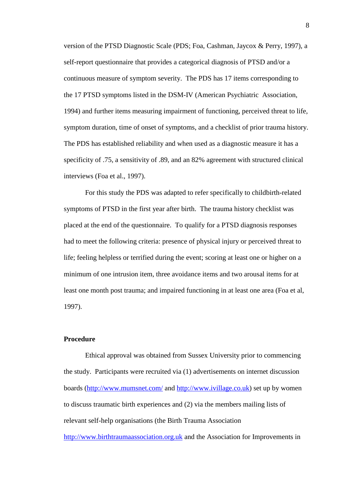version of the PTSD Diagnostic Scale (PDS; Foa, Cashman, Jaycox & Perry, 1997), a self-report questionnaire that provides a categorical diagnosis of PTSD and/or a continuous measure of symptom severity. The PDS has 17 items corresponding to the 17 PTSD symptoms listed in the DSM-IV (American Psychiatric Association, 1994) and further items measuring impairment of functioning, perceived threat to life, symptom duration, time of onset of symptoms, and a checklist of prior trauma history. The PDS has established reliability and when used as a diagnostic measure it has a specificity of .75, a sensitivity of .89, and an 82% agreement with structured clinical interviews (Foa et al., 1997).

For this study the PDS was adapted to refer specifically to childbirth-related symptoms of PTSD in the first year after birth. The trauma history checklist was placed at the end of the questionnaire. To qualify for a PTSD diagnosis responses had to meet the following criteria: presence of physical injury or perceived threat to life; feeling helpless or terrified during the event; scoring at least one or higher on a minimum of one intrusion item, three avoidance items and two arousal items for at least one month post trauma; and impaired functioning in at least one area (Foa et al, 1997).

#### **Procedure**

Ethical approval was obtained from Sussex University prior to commencing the study. Participants were recruited via (1) advertisements on internet discussion boards [\(http://www.mumsnet.com/](http://www.mumsnet.com/) and [http://www.ivillage.co.uk\)](http://www.ivillage.co.uk/) set up by women to discuss traumatic birth experiences and (2) via the members mailing lists of relevant self-help organisations (the Birth Trauma Association [http://www.birthtraumaassociation.org.uk](http://www.birthtraumaassociation.org.uk/) and the Association for Improvements in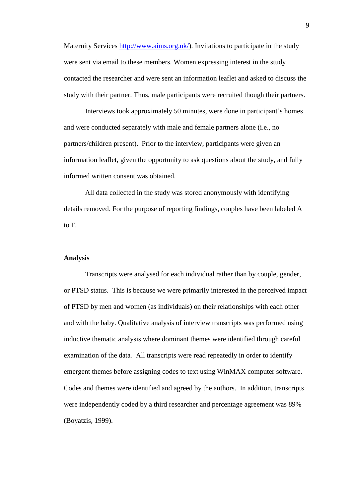Maternity Services [http://www.aims.org.uk/\)](http://www.aims.org.uk/). Invitations to participate in the study were sent via email to these members. Women expressing interest in the study contacted the researcher and were sent an information leaflet and asked to discuss the study with their partner. Thus, male participants were recruited though their partners.

Interviews took approximately 50 minutes, were done in participant's homes and were conducted separately with male and female partners alone (i.e., no partners/children present). Prior to the interview, participants were given an information leaflet, given the opportunity to ask questions about the study, and fully informed written consent was obtained.

All data collected in the study was stored anonymously with identifying details removed. For the purpose of reporting findings, couples have been labeled A to F.

#### **Analysis**

Transcripts were analysed for each individual rather than by couple, gender, or PTSD status. This is because we were primarily interested in the perceived impact of PTSD by men and women (as individuals) on their relationships with each other and with the baby. Qualitative analysis of interview transcripts was performed using inductive thematic analysis where dominant themes were identified through careful examination of the data. All transcripts were read repeatedly in order to identify emergent themes before assigning codes to text using WinMAX computer software. Codes and themes were identified and agreed by the authors. In addition, transcripts were independently coded by a third researcher and percentage agreement was 89% (Boyatzis, 1999).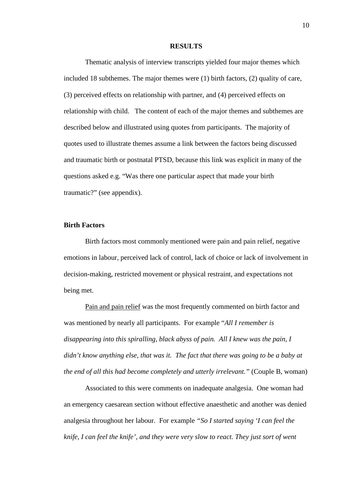#### **RESULTS**

Thematic analysis of interview transcripts yielded four major themes which included 18 subthemes. The major themes were (1) birth factors, (2) quality of care, (3) perceived effects on relationship with partner, and (4) perceived effects on relationship with child. The content of each of the major themes and subthemes are described below and illustrated using quotes from participants. The majority of quotes used to illustrate themes assume a link between the factors being discussed and traumatic birth or postnatal PTSD, because this link was explicit in many of the questions asked e.g. "Was there one particular aspect that made your birth traumatic?" (see appendix).

### **Birth Factors**

Birth factors most commonly mentioned were pain and pain relief, negative emotions in labour, perceived lack of control, lack of choice or lack of involvement in decision-making, restricted movement or physical restraint, and expectations not being met.

Pain and pain relief was the most frequently commented on birth factor and was mentioned by nearly all participants. For example "*All I remember is disappearing into this spiralling, black abyss of pain. All I knew was the pain, I didn't know anything else, that was it. The fact that there was going to be a baby at the end of all this had become completely and utterly irrelevant."* (Couple B, woman)

Associated to this were comments on inadequate analgesia. One woman had an emergency caesarean section without effective anaesthetic and another was denied analgesia throughout her labour. For example *"So I started saying 'I can feel the knife, I can feel the knife', and they were very slow to react. They just sort of went*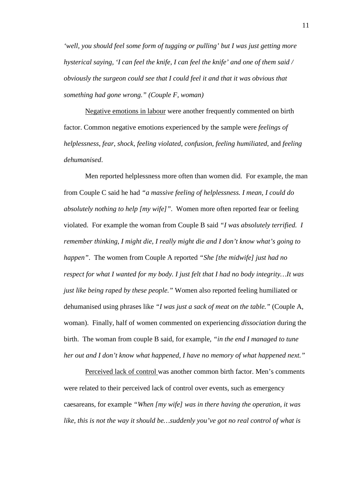*'well, you should feel some form of tugging or pulling' but I was just getting more hysterical saying, 'I can feel the knife, I can feel the knife' and one of them said / obviously the surgeon could see that I could feel it and that it was obvious that something had gone wrong." (Couple F, woman)*

Negative emotions in labour were another frequently commented on birth factor. Common negative emotions experienced by the sample were *feelings of helplessness*, *fear*, *shock*, *feeling violated*, *confusion*, *feeling humiliated*, and *feeling dehumanised*.

Men reported helplessness more often than women did. For example, the man from Couple C said he had *"a massive feeling of helplessness. I mean, I could do absolutely nothing to help [my wife]".* Women more often reported fear or feeling violated. For example the woman from Couple B said *"I was absolutely terrified. I remember thinking, I might die, I really might die and I don't know what's going to happen"*. The women from Couple A reported *"She [the midwife] just had no respect for what I wanted for my body. I just felt that I had no body integrity…It was just like being raped by these people."* Women also reported feeling humiliated or dehumanised using phrases like *"I was just a sack of meat on the table."* (Couple A, woman). Finally, half of women commented on experiencing *dissociation* during the birth. The woman from couple B said, for example, *"in the end I managed to tune her out and I don't know what happened, I have no memory of what happened next."*

Perceived lack of control was another common birth factor. Men's comments were related to their perceived lack of control over events, such as emergency caesareans, for example *"When [my wife] was in there having the operation, it was like, this is not the way it should be…suddenly you've got no real control of what is*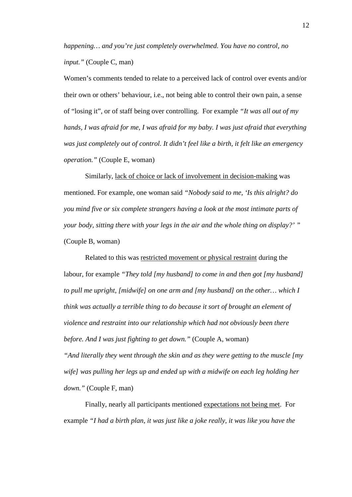*happening… and you're just completely overwhelmed. You have no control, no input."* (Couple C, man)

Women's comments tended to relate to a perceived lack of control over events and/or their own or others' behaviour, i.e., not being able to control their own pain, a sense of "losing it", or of staff being over controlling. For example *"It was all out of my hands, I was afraid for me, I was afraid for my baby. I was just afraid that everything was just completely out of control. It didn't feel like a birth, it felt like an emergency operation."* (Couple E, woman)

Similarly, lack of choice or lack of involvement in decision-making was mentioned. For example, one woman said *"Nobody said to me, 'Is this alright? do you mind five or six complete strangers having a look at the most intimate parts of your body, sitting there with your legs in the air and the whole thing on display?' "* (Couple B, woman)

Related to this was restricted movement or physical restraint during the labour, for example *"They told [my husband] to come in and then got [my husband] to pull me upright, [midwife] on one arm and [my husband] on the other… which I think was actually a terrible thing to do because it sort of brought an element of violence and restraint into our relationship which had not obviously been there before. And I was just fighting to get down."* (Couple A, woman) *"And literally they went through the skin and as they were getting to the muscle [my wife] was pulling her legs up and ended up with a midwife on each leg holding her down."* (Couple F, man)

Finally, nearly all participants mentioned expectations not being met. For example *"I had a birth plan, it was just like a joke really, it was like you have the*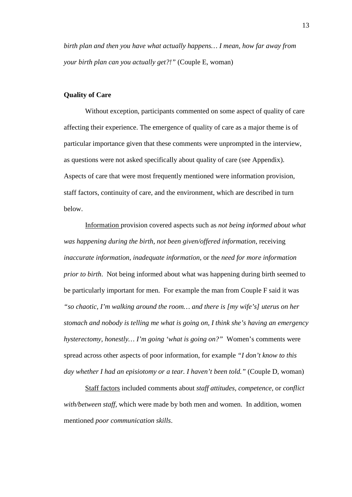*birth plan and then you have what actually happens… I mean, how far away from your birth plan can you actually get?!"* (Couple E, woman)

## **Quality of Care**

Without exception, participants commented on some aspect of quality of care affecting their experience. The emergence of quality of care as a major theme is of particular importance given that these comments were unprompted in the interview, as questions were not asked specifically about quality of care (see Appendix). Aspects of care that were most frequently mentioned were information provision, staff factors, continuity of care, and the environment, which are described in turn below.

Information provision covered aspects such as *not being informed about what was happening during the birth*, *not been given/offered information*, receiving *inaccurate information, inadequate information*, or the *need for more information prior to birth*. Not being informed about what was happening during birth seemed to be particularly important for men. For example the man from Couple F said it was *"so chaotic, I'm walking around the room… and there is [my wife's] uterus on her stomach and nobody is telling me what is going on, I think she's having an emergency hysterectomy, honestly… I'm going 'what is going on?"* Women's comments were spread across other aspects of poor information, for example *"I don't know to this day whether I had an episiotomy or a tear. I haven't been told."* (Couple D, woman)

Staff factors included comments about *staff attitudes, competence,* or *conflict with/between staff,* which were made by both men and women. In addition, women mentioned *poor communication skills*.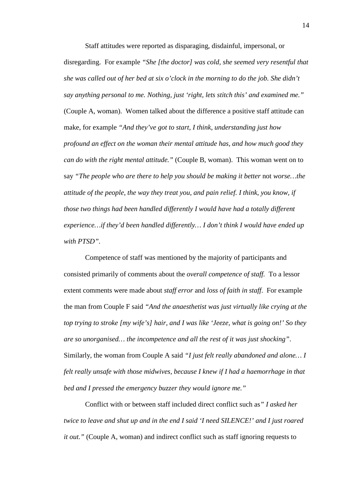Staff attitudes were reported as disparaging, disdainful, impersonal, or disregarding. For example *"She [the doctor] was cold, she seemed very resentful that she was called out of her bed at six o'clock in the morning to do the job. She didn't say anything personal to me. Nothing, just 'right, lets stitch this' and examined me."* (Couple A, woman). Women talked about the difference a positive staff attitude can make, for example *"And they've got to start, I think, understanding just how profound an effect on the woman their mental attitude has, and how much good they can do with the right mental attitude."* (Couple B, woman). This woman went on to say "The people who are there to help you should be making it better not worse...the *attitude of the people, the way they treat you, and pain relief. I think, you know, if those two things had been handled differently I would have had a totally different experience…if they'd been handled differently… I don't think I would have ended up with PTSD".*

Competence of staff was mentioned by the majority of participants and consisted primarily of comments about the *overall competence of staff.* To a lessor extent comments were made about *staff error* and *loss of faith in staff*. For example the man from Couple F said *"And the anaesthetist was just virtually like crying at the top trying to stroke [my wife's] hair, and I was like 'Jeeze, what is going on!' So they are so unorganised… the incompetence and all the rest of it was just shocking"*. Similarly, the woman from Couple A said *"I just felt really abandoned and alone… I felt really unsafe with those midwives, because I knew if I had a haemorrhage in that bed and I pressed the emergency buzzer they would ignore me."* 

Conflict with or between staff included direct conflict such as*" I asked her twice to leave and shut up and in the end I said 'I need SILENCE!' and I just roared it out."* (Couple A, woman) and indirect conflict such as staff ignoring requests to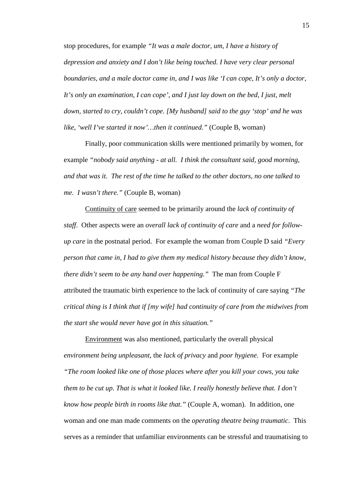stop procedures, for example *"It was a male doctor, um, I have a history of depression and anxiety and I don't like being touched. I have very clear personal boundaries, and a male doctor came in, and I was like 'I can cope, It's only a doctor, It's only an examination, I can cope', and I just lay down on the bed, I just, melt down, started to cry, couldn't cope. [My husband] said to the guy 'stop' and he was like, 'well I've started it now'...then it continued." (Couple B, woman)* 

Finally, poor communication skills were mentioned primarily by women, for example *"nobody said anything - at all. I think the consultant said, good morning, and that was it. The rest of the time he talked to the other doctors, no one talked to me. I wasn't there."* (Couple B, woman)

Continuity of care seemed to be primarily around the *lack of continuity of staff*. Other aspects were an *overall lack of continuity of care* and a *need for followup care* in the postnatal period. For example the woman from Couple D said *"Every person that came in, I had to give them my medical history because they didn't know, there didn't seem to be any hand over happening."* The man from Couple F attributed the traumatic birth experience to the lack of continuity of care saying *"The critical thing is I think that if [my wife] had continuity of care from the midwives from the start she would never have got in this situation."*

Environment was also mentioned, particularly the overall physical *environment being unpleasant,* the *lack of privacy* and *poor hygiene*. For example *"The room looked like one of those places where after you kill your cows, you take them to be cut up. That is what it looked like. I really honestly believe that. I don't know how people birth in rooms like that."* (Couple A, woman). In addition, one woman and one man made comments on the *operating theatre being traumatic*. This serves as a reminder that unfamiliar environments can be stressful and traumatising to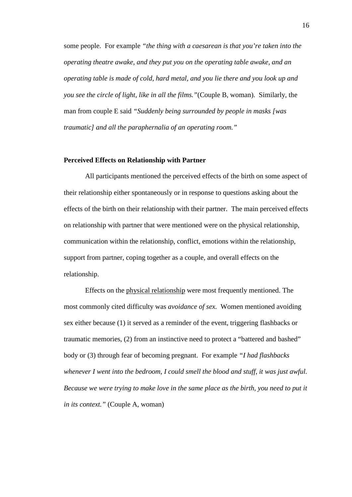some people. For example *"the thing with a caesarean is that you're taken into the operating theatre awake, and they put you on the operating table awake, and an operating table is made of cold, hard metal, and you lie there and you look up and you see the circle of light, like in all the films."*(Couple B, woman). Similarly, the man from couple E said *"Suddenly being surrounded by people in masks [was traumatic] and all the paraphernalia of an operating room."*

#### **Perceived Effects on Relationship with Partner**

All participants mentioned the perceived effects of the birth on some aspect of their relationship either spontaneously or in response to questions asking about the effects of the birth on their relationship with their partner. The main perceived effects on relationship with partner that were mentioned were on the physical relationship, communication within the relationship, conflict, emotions within the relationship, support from partner, coping together as a couple, and overall effects on the relationship.

Effects on the physical relationship were most frequently mentioned. The most commonly cited difficulty was *avoidance of sex.* Women mentioned avoiding sex either because (1) it served as a reminder of the event, triggering flashbacks or traumatic memories, (2) from an instinctive need to protect a "battered and bashed" body or (3) through fear of becoming pregnant. For example *"I had flashbacks whenever I went into the bedroom, I could smell the blood and stuff, it was just awful. Because we were trying to make love in the same place as the birth, you need to put it in its context."* (Couple A, woman)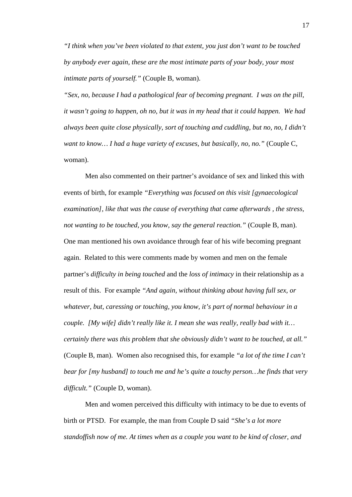*"I think when you've been violated to that extent, you just don't want to be touched by anybody ever again, these are the most intimate parts of your body, your most intimate parts of yourself."* (Couple B, woman).

*"Sex, no, because I had a pathological fear of becoming pregnant. I was on the pill, it wasn't going to happen, oh no, but it was in my head that it could happen. We had always been quite close physically, sort of touching and cuddling, but no, no, I didn't want to know… I had a huge variety of excuses, but basically, no, no."* (Couple C, woman).

Men also commented on their partner's avoidance of sex and linked this with events of birth, for example *"Everything was focused on this visit [gynaecological examination], like that was the cause of everything that came afterwards , the stress, not wanting to be touched, you know, say the general reaction."* (Couple B, man). One man mentioned his own avoidance through fear of his wife becoming pregnant again. Related to this were comments made by women and men on the female partner's *difficulty in being touched* and the *loss of intimacy* in their relationship as a result of this. For example *"And again, without thinking about having full sex, or whatever, but, caressing or touching, you know, it's part of normal behaviour in a couple. [My wife] didn't really like it. I mean she was really, really bad with it… certainly there was this problem that she obviously didn't want to be touched, at all."*  (Couple B, man). Women also recognised this, for example *"a lot of the time I can't bear for [my husband] to touch me and he's quite a touchy person…he finds that very difficult."* (Couple D, woman).

Men and women perceived this difficulty with intimacy to be due to events of birth or PTSD. For example, the man from Couple D said *"She's a lot more standoffish now of me. At times when as a couple you want to be kind of closer, and*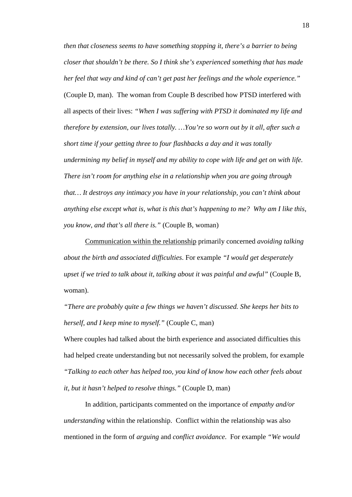*then that closeness seems to have something stopping it, there's a barrier to being closer that shouldn't be there. So I think she's experienced something that has made her feel that way and kind of can't get past her feelings and the whole experience."*  (Couple D, man). The woman from Couple B described how PTSD interfered with all aspects of their lives: *"When I was suffering with PTSD it dominated my life and therefore by extension, our lives totally. …You're so worn out by it all, after such a short time if your getting three to four flashbacks a day and it was totally undermining my belief in myself and my ability to cope with life and get on with life. There isn't room for anything else in a relationship when you are going through that… It destroys any intimacy you have in your relationship, you can't think about anything else except what is, what is this that's happening to me? Why am I like this, you know, and that's all there is."* (Couple B, woman)

Communication within the relationship primarily concerned *avoiding talking about the birth and associated difficulties*. For example *"I would get desperately upset if we tried to talk about it, talking about it was painful and awful"* (Couple B, woman).

*"There are probably quite a few things we haven't discussed. She keeps her bits to herself, and I keep mine to myself."* (Couple C, man)

Where couples had talked about the birth experience and associated difficulties this had helped create understanding but not necessarily solved the problem, for example *"Talking to each other has helped too, you kind of know how each other feels about it, but it hasn't helped to resolve things."* (Couple D, man)

In addition, participants commented on the importance of *empathy and/or understanding* within the relationship. Conflict within the relationship was also mentioned in the form of *arguing* and *conflict avoidance*. For example *"We would*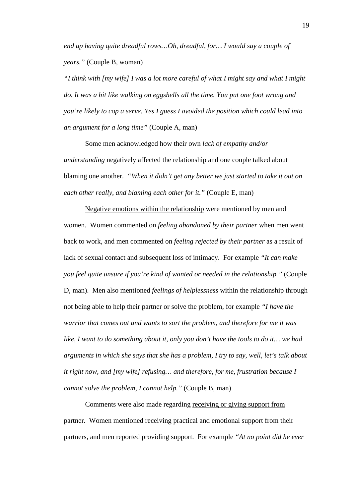*end up having quite dreadful rows…Oh, dreadful, for… I would say a couple of years."* (Couple B, woman)

*"I think with [my wife] I was a lot more careful of what I might say and what I might do. It was a bit like walking on eggshells all the time. You put one foot wrong and you're likely to cop a serve. Yes I guess I avoided the position which could lead into an argument for a long time"* (Couple A, man)

Some men acknowledged how their own *lack of empathy and/or understanding* negatively affected the relationship and one couple talked about blaming one another. *"When it didn't get any better we just started to take it out on each other really, and blaming each other for it."* (Couple E, man)

Negative emotions within the relationship were mentioned by men and women. Women commented on *feeling abandoned by their partner* when men went back to work, and men commented on *feeling rejected by their partner* as a result of lack of sexual contact and subsequent loss of intimacy. For example *"It can make you feel quite unsure if you're kind of wanted or needed in the relationship."* (Couple D, man). Men also mentioned *feelings of helplessness* within the relationship through not being able to help their partner or solve the problem, for example *"I have the warrior that comes out and wants to sort the problem, and therefore for me it was like, I want to do something about it, only you don't have the tools to do it… we had arguments in which she says that she has a problem, I try to say, well, let's talk about it right now, and [my wife] refusing… and therefore, for me, frustration because I cannot solve the problem, I cannot help."* (Couple B, man)

Comments were also made regarding receiving or giving support from partner. Women mentioned receiving practical and emotional support from their partners, and men reported providing support. For example *"At no point did he ever*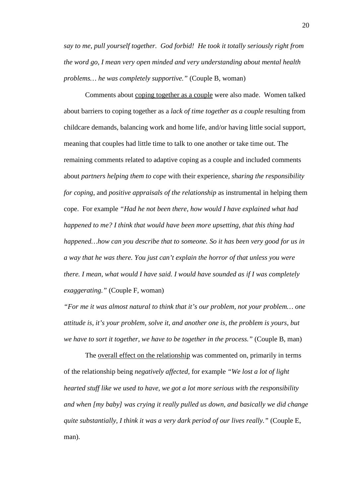*say to me, pull yourself together. God forbid! He took it totally seriously right from the word go, I mean very open minded and very understanding about mental health problems… he was completely supportive."* (Couple B, woman)

Comments about coping together as a couple were also made. Women talked about barriers to coping together as a *lack of time together as a couple* resulting from childcare demands, balancing work and home life, and/or having little social support, meaning that couples had little time to talk to one another or take time out. The remaining comments related to adaptive coping as a couple and included comments about *partners helping them to cope* with their experience, *sharing the responsibility for coping*, and *positive appraisals of the relationship* as instrumental in helping them cope. For example *"Had he not been there, how would I have explained what had happened to me? I think that would have been more upsetting, that this thing had happened…how can you describe that to someone. So it has been very good for us in a way that he was there. You just can't explain the horror of that unless you were there. I mean, what would I have said. I would have sounded as if I was completely exaggerating."* (Couple F, woman)

*"For me it was almost natural to think that it's our problem, not your problem… one attitude is, it's your problem, solve it, and another one is, the problem is yours, but we have to sort it together, we have to be together in the process."* (Couple B, man)

The overall effect on the relationship was commented on, primarily in terms of the relationship being *negatively affected,* for example *"We lost a lot of light hearted stuff like we used to have, we got a lot more serious with the responsibility and when [my baby] was crying it really pulled us down, and basically we did change quite substantially, I think it was a very dark period of our lives really."* (Couple E, man).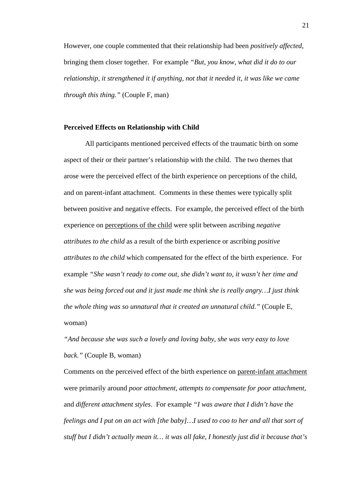However, one couple commented that their relationship had been *positively affected*, bringing them closer together. For example *"But, you know, what did it do to our relationship, it strengthened it if anything, not that it needed it, it was like we came through this thing."* (Couple F, man)

#### **Perceived Effects on Relationship with Child**

All participants mentioned perceived effects of the traumatic birth on some aspect of their or their partner's relationship with the child. The two themes that arose were the perceived effect of the birth experience on perceptions of the child, and on parent-infant attachment. Comments in these themes were typically split between positive and negative effects. For example, the perceived effect of the birth experience on perceptions of the child were split between ascribing *negative attributes to the child* as a result of the birth experience or ascribing *positive attributes to the child* which compensated for the effect of the birth experience. For example *"She wasn't ready to come out, she didn't want to, it wasn't her time and she was being forced out and it just made me think she is really angry…I just think the whole thing was so unnatural that it created an unnatural child."* (Couple E, woman)

*"And because she was such a lovely and loving baby, she was very easy to love back."* (Couple B, woman)

Comments on the perceived effect of the birth experience on parent-infant attachment were primarily around *poor attachment, attempts to compensate for poor attachment*, and *different attachment styles*. For example *"I was aware that I didn't have the feelings and I put on an act with [the baby]…I used to coo to her and all that sort of stuff but I didn't actually mean it… it was all fake, I honestly just did it because that's*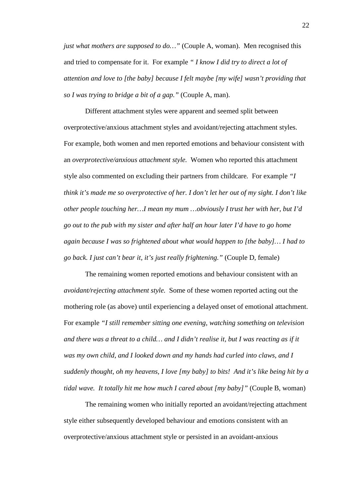*just what mothers are supposed to do...* " (Couple A, woman). Men recognised this and tried to compensate for it. For example *" I know I did try to direct a lot of attention and love to [the baby] because I felt maybe [my wife] wasn't providing that so I was trying to bridge a bit of a gap."* (Couple A, man).

Different attachment styles were apparent and seemed split between overprotective/anxious attachment styles and avoidant/rejecting attachment styles. For example, both women and men reported emotions and behaviour consistent with an *overprotective/anxious attachment style.* Women who reported this attachment style also commented on excluding their partners from childcare*.* For example *"I think it's made me so overprotective of her. I don't let her out of my sight. I don't like other people touching her…I mean my mum …obviously I trust her with her, but I'd go out to the pub with my sister and after half an hour later I'd have to go home again because I was so frightened about what would happen to [the baby]… I had to go back. I just can't bear it, it's just really frightening."* (Couple D, female)

The remaining women reported emotions and behaviour consistent with an *avoidant/rejecting attachment style.* Some of these women reported acting out the mothering role (as above) until experiencing a delayed onset of emotional attachment. For example *"I still remember sitting one evening, watching something on television and there was a threat to a child… and I didn't realise it, but I was reacting as if it was my own child, and I looked down and my hands had curled into claws, and I suddenly thought, oh my heavens, I love [my baby] to bits! And it's like being hit by a tidal wave. It totally hit me how much I cared about [my baby]"* (Couple B, woman)

The remaining women who initially reported an avoidant/rejecting attachment style either subsequently developed behaviour and emotions consistent with an overprotective/anxious attachment style or persisted in an avoidant-anxious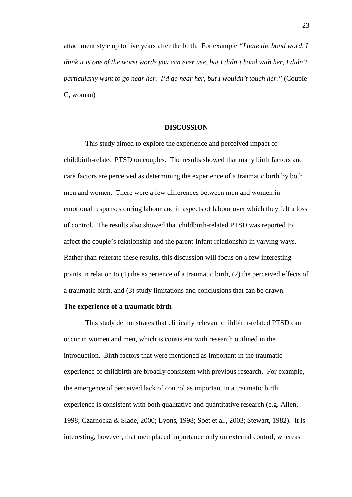attachment style up to five years after the birth. For example *"I hate the bond word, I think it is one of the worst words you can ever use, but I didn't bond with her, I didn't particularly want to go near her. I'd go near her, but I wouldn't touch her."* (Couple C, woman)

#### **DISCUSSION**

This study aimed to explore the experience and perceived impact of childbirth-related PTSD on couples. The results showed that many birth factors and care factors are perceived as determining the experience of a traumatic birth by both men and women. There were a few differences between men and women in emotional responses during labour and in aspects of labour over which they felt a loss of control. The results also showed that childbirth-related PTSD was reported to affect the couple's relationship and the parent-infant relationship in varying ways. Rather than reiterate these results, this discussion will focus on a few interesting points in relation to (1) the experience of a traumatic birth, (2) the perceived effects of a traumatic birth, and (3) study limitations and conclusions that can be drawn.

#### **The experience of a traumatic birth**

This study demonstrates that clinically relevant childbirth-related PTSD can occur in women and men, which is consistent with research outlined in the introduction. Birth factors that were mentioned as important in the traumatic experience of childbirth are broadly consistent with previous research. For example, the emergence of perceived lack of control as important in a traumatic birth experience is consistent with both qualitative and quantitative research (e.g. Allen, 1998; Czarnocka & Slade, 2000; Lyons, 1998; Soet et al., 2003; Stewart, 1982). It is interesting, however, that men placed importance only on external control, whereas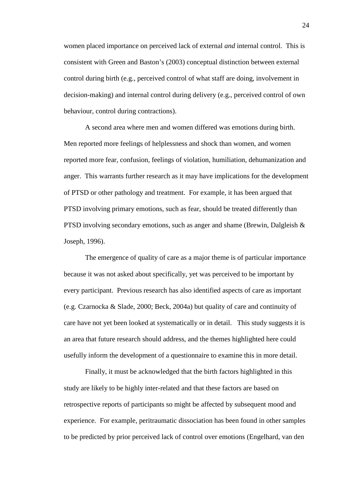women placed importance on perceived lack of external *and* internal control. This is consistent with Green and Baston's (2003) conceptual distinction between external control during birth (e.g., perceived control of what staff are doing, involvement in decision-making) and internal control during delivery (e.g., perceived control of own behaviour, control during contractions).

A second area where men and women differed was emotions during birth. Men reported more feelings of helplessness and shock than women, and women reported more fear, confusion, feelings of violation, humiliation, dehumanization and anger. This warrants further research as it may have implications for the development of PTSD or other pathology and treatment. For example, it has been argued that PTSD involving primary emotions, such as fear, should be treated differently than PTSD involving secondary emotions, such as anger and shame (Brewin, Dalgleish  $\&$ Joseph, 1996).

The emergence of quality of care as a major theme is of particular importance because it was not asked about specifically, yet was perceived to be important by every participant. Previous research has also identified aspects of care as important (e.g. Czarnocka & Slade, 2000; Beck, 2004a) but quality of care and continuity of care have not yet been looked at systematically or in detail. This study suggests it is an area that future research should address, and the themes highlighted here could usefully inform the development of a questionnaire to examine this in more detail.

Finally, it must be acknowledged that the birth factors highlighted in this study are likely to be highly inter-related and that these factors are based on retrospective reports of participants so might be affected by subsequent mood and experience. For example, peritraumatic dissociation has been found in other samples to be predicted by prior perceived lack of control over emotions (Engelhard, van den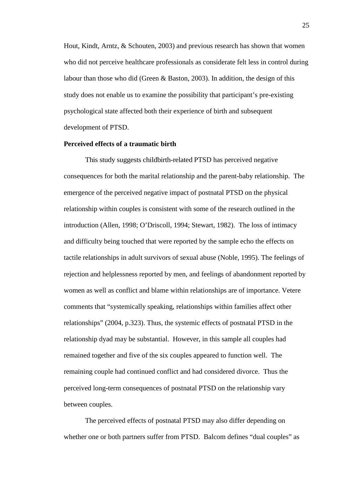Hout, Kindt, Arntz, & Schouten, 2003) and previous research has shown that women who did not perceive healthcare professionals as considerate felt less in control during labour than those who did (Green & Baston, 2003). In addition, the design of this study does not enable us to examine the possibility that participant's pre-existing psychological state affected both their experience of birth and subsequent development of PTSD.

#### **Perceived effects of a traumatic birth**

This study suggests childbirth-related PTSD has perceived negative consequences for both the marital relationship and the parent-baby relationship. The emergence of the perceived negative impact of postnatal PTSD on the physical relationship within couples is consistent with some of the research outlined in the introduction (Allen, 1998; O'Driscoll, 1994; Stewart, 1982). The loss of intimacy and difficulty being touched that were reported by the sample echo the effects on tactile relationships in adult survivors of sexual abuse (Noble, 1995). The feelings of rejection and helplessness reported by men, and feelings of abandonment reported by women as well as conflict and blame within relationships are of importance. Vetere comments that "systemically speaking, relationships within families affect other relationships" (2004, p.323). Thus, the systemic effects of postnatal PTSD in the relationship dyad may be substantial. However, in this sample all couples had remained together and five of the six couples appeared to function well. The remaining couple had continued conflict and had considered divorce. Thus the perceived long-term consequences of postnatal PTSD on the relationship vary between couples.

The perceived effects of postnatal PTSD may also differ depending on whether one or both partners suffer from PTSD. Balcom defines "dual couples" as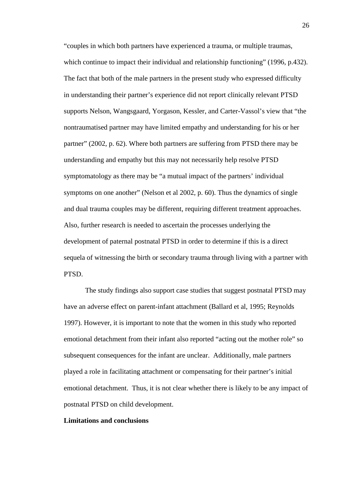"couples in which both partners have experienced a trauma, or multiple traumas, which continue to impact their individual and relationship functioning" (1996, p.432). The fact that both of the male partners in the present study who expressed difficulty in understanding their partner's experience did not report clinically relevant PTSD supports [Nelson, Wangsgaard, Yorgason, Kessler, and Carter-Vassol's](http://www.ncbi.nlm.nih.gov/entrez/query.fcgi?cmd=Retrieve&db=pubmed&dopt=Abstract&list_uids=14964595) view that "the nontraumatised partner may have limited empathy and understanding for his or her partner" (2002, p. 62). Where both partners are suffering from PTSD there may be understanding and empathy but this may not necessarily help resolve PTSD symptomatology as there may be "a mutual impact of the partners' individual symptoms on one another" (Nelson et al 2002, p. 60). Thus the dynamics of single and dual trauma couples may be different, requiring different treatment approaches. Also, further research is needed to ascertain the processes underlying the development of paternal postnatal PTSD in order to determine if this is a direct sequela of witnessing the birth or secondary trauma through living with a partner with PTSD.

The study findings also support case studies that suggest postnatal PTSD may have an adverse effect on parent-infant attachment (Ballard et al, 1995; Reynolds 1997). However, it is important to note that the women in this study who reported emotional detachment from their infant also reported "acting out the mother role" so subsequent consequences for the infant are unclear. Additionally, male partners played a role in facilitating attachment or compensating for their partner's initial emotional detachment. Thus, it is not clear whether there is likely to be any impact of postnatal PTSD on child development.

#### **Limitations and conclusions**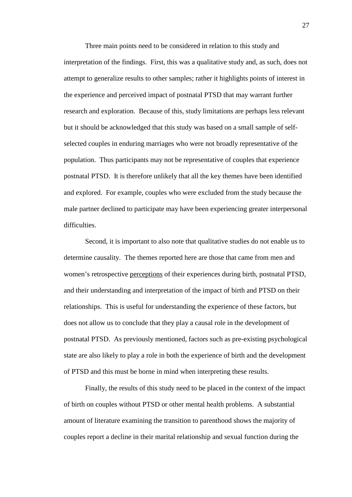Three main points need to be considered in relation to this study and interpretation of the findings. First, this was a qualitative study and, as such, does not attempt to generalize results to other samples; rather it highlights points of interest in the experience and perceived impact of postnatal PTSD that may warrant further research and exploration. Because of this, study limitations are perhaps less relevant but it should be acknowledged that this study was based on a small sample of selfselected couples in enduring marriages who were not broadly representative of the population. Thus participants may not be representative of couples that experience postnatal PTSD. It is therefore unlikely that all the key themes have been identified and explored. For example, couples who were excluded from the study because the male partner declined to participate may have been experiencing greater interpersonal difficulties.

Second, it is important to also note that qualitative studies do not enable us to determine causality. The themes reported here are those that came from men and women's retrospective perceptions of their experiences during birth, postnatal PTSD, and their understanding and interpretation of the impact of birth and PTSD on their relationships. This is useful for understanding the experience of these factors, but does not allow us to conclude that they play a causal role in the development of postnatal PTSD. As previously mentioned, factors such as pre-existing psychological state are also likely to play a role in both the experience of birth and the development of PTSD and this must be borne in mind when interpreting these results.

Finally, the results of this study need to be placed in the context of the impact of birth on couples without PTSD or other mental health problems. A substantial amount of literature examining the transition to parenthood shows the majority of couples report a decline in their marital relationship and sexual function during the

27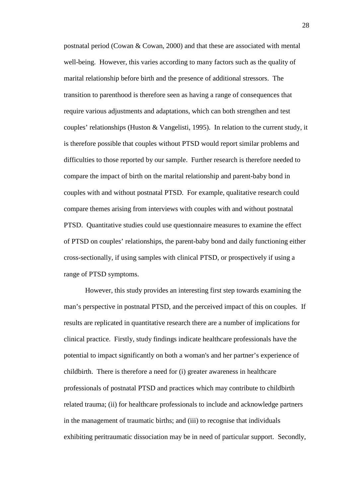postnatal period (Cowan & Cowan, 2000) and that these are associated with mental well-being. However, this varies according to many factors such as the quality of marital relationship before birth and the presence of additional stressors. The transition to parenthood is therefore seen as having a range of consequences that require various adjustments and adaptations, which can both strengthen and test couples' relationships (Huston & Vangelisti, 1995). In relation to the current study, it is therefore possible that couples without PTSD would report similar problems and difficulties to those reported by our sample. Further research is therefore needed to compare the impact of birth on the marital relationship and parent-baby bond in couples with and without postnatal PTSD. For example, qualitative research could compare themes arising from interviews with couples with and without postnatal PTSD. Quantitative studies could use questionnaire measures to examine the effect of PTSD on couples' relationships, the parent-baby bond and daily functioning either cross-sectionally, if using samples with clinical PTSD, or prospectively if using a range of PTSD symptoms.

However, this study provides an interesting first step towards examining the man's perspective in postnatal PTSD, and the perceived impact of this on couples. If results are replicated in quantitative research there are a number of implications for clinical practice. Firstly, study findings indicate healthcare professionals have the potential to impact significantly on both a woman's and her partner's experience of childbirth. There is therefore a need for (i) greater awareness in healthcare professionals of postnatal PTSD and practices which may contribute to childbirth related trauma; (ii) for healthcare professionals to include and acknowledge partners in the management of traumatic births; and (iii) to recognise that individuals exhibiting peritraumatic dissociation may be in need of particular support. Secondly,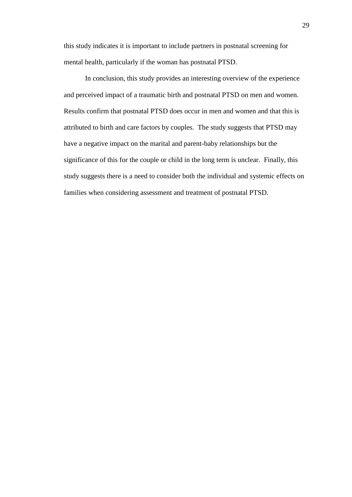this study indicates it is important to include partners in postnatal screening for mental health, particularly if the woman has postnatal PTSD.

In conclusion, this study provides an interesting overview of the experience and perceived impact of a traumatic birth and postnatal PTSD on men and women. Results confirm that postnatal PTSD does occur in men and women and that this is attributed to birth and care factors by couples. The study suggests that PTSD may have a negative impact on the marital and parent-baby relationships but the significance of this for the couple or child in the long term is unclear. Finally, this study suggests there is a need to consider both the individual and systemic effects on families when considering assessment and treatment of postnatal PTSD.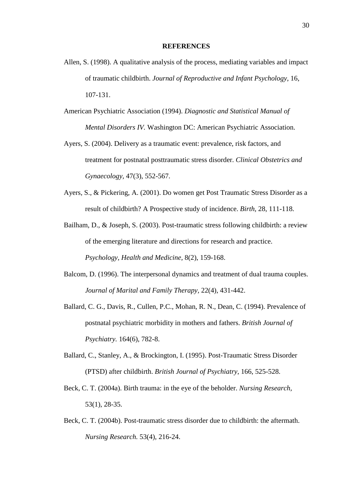#### **REFERENCES**

- Allen, S. (1998). A qualitative analysis of the process, mediating variables and impact of traumatic childbirth. *Journal of Reproductive and Infant Psychology*, 16, 107-131.
- American Psychiatric Association (1994). *Diagnostic and Statistical Manual of Mental Disorders IV.* Washington DC: American Psychiatric Association.
- Ayers, S. (2004). Delivery as a traumatic event: prevalence, risk factors, and treatment for postnatal posttraumatic stress disorder. *Clinical Obstetrics and Gynaecology,* 47(3), 552-567.
- Ayers, S., & Pickering, A. (2001). Do women get Post Traumatic Stress Disorder as a result of childbirth? A Prospective study of incidence. *Birth*, 28, 111-118.
- Bailham, D., & Joseph, S. (2003). Post-traumatic stress following childbirth: a review of the emerging literature and directions for research and practice. *Psychology, Health and Medicine,* 8(2), 159-168.
- Balcom, D. (1996). The interpersonal dynamics and treatment of dual trauma couples. *Journal of Marital and Family Therapy,* 22(4), 431-442.
- [Ballard, C. G., Davis, R., Cullen, P.C., Mohan, R. N., Dean, C.](http://www.ncbi.nlm.nih.gov/entrez/query.fcgi?cmd=Retrieve&db=pubmed&dopt=Abstract&list_uids=7952984) (1994). Prevalence of postnatal psychiatric morbidity in mothers and fathers. *British Journal of Psychiatry.* 164(6), 782-8.
- Ballard, C., Stanley, A., & Brockington, I. (1995). Post-Traumatic Stress Disorder (PTSD) after childbirth. *British Journal of Psychiatry*, 166, 525-528.
- Beck, C. T. (2004a). Birth trauma: in the eye of the beholder. *Nursing Research,*  53(1), 28-35.
- [Beck, C. T.](http://www.ncbi.nlm.nih.gov/entrez/query.fcgi?cmd=Retrieve&db=pubmed&dopt=Abstract&list_uids=15266160) (2004b). Post-traumatic stress disorder due to childbirth: the aftermath. *Nursing Research.* 53(4), 216-24.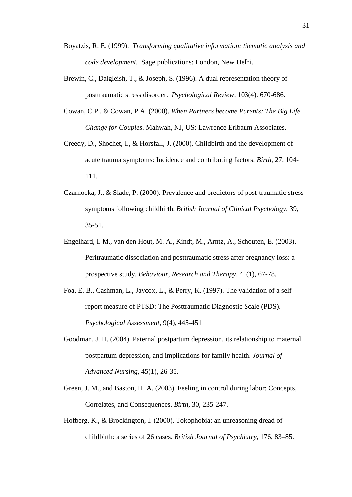- Boyatzis, R. E. (1999). *Transforming qualitative information: thematic analysis and code development.* Sage publications: London, New Delhi.
- Brewin, C., Dalgleish, T., & Joseph, S. (1996). A dual representation theory of posttraumatic stress disorder. *Psychological Review,* 103(4). 670-686.
- Cowan, C.P., & Cowan, P.A. (2000). *When Partners become Parents: The Big Life Change for Couples*. Mahwah, NJ, US: Lawrence Erlbaum Associates.
- Creedy, D., Shochet, I., & Horsfall, J. (2000). Childbirth and the development of acute trauma symptoms: Incidence and contributing factors. *Birth*, 27, 104- 111.
- Czarnocka, J., & Slade, P. (2000). Prevalence and predictors of post-traumatic stress symptoms following childbirth. *British Journal of Clinical Psychology*, 39, 35-51.
- Engelhard, I. M., van den Hout, M. A., Kindt, M., Arntz, A., Schouten, E. (2003). Peritraumatic dissociation and posttraumatic stress after pregnancy loss: a prospective study. *Behaviour, Research and Therapy,* 41(1), 67-78.
- Foa, E. B., Cashman, L., Jaycox, L., & Perry, K. (1997). The validation of a selfreport measure of PTSD: The Posttraumatic Diagnostic Scale (PDS). *Psychological Assessment,* 9(4), 445-451
- Goodman, J. H. (2004). Paternal postpartum depression, its relationship to maternal postpartum depression, and implications for family health. *Journal of Advanced Nursing,* 45(1), 26-35.
- Green, J. M., and Baston, H. A. (2003). Feeling in control during labor: Concepts, Correlates, and Consequences. *Birth,* 30, 235-247.
- Hofberg, K., & Brockington, I. (2000). Tokophobia: an unreasoning dread of childbirth: a series of 26 cases. *British Journal of Psychiatry,* 176, 83–85.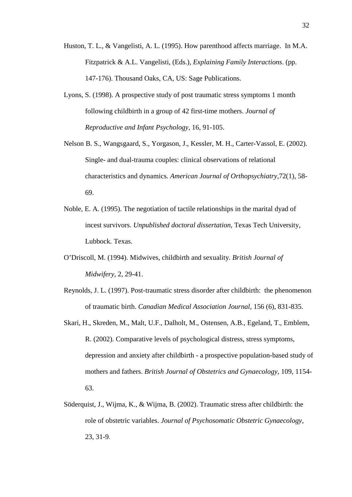- Huston, T. L., & Vangelisti, A. L. (1995). How parenthood affects marriage. In M.A. Fitzpatrick & A.L. Vangelisti, (Eds.), *Explaining Family Interactions*. (pp. 147-176). Thousand Oaks, CA, US: Sage Publications.
- Lyons, S. (1998). A prospective study of post traumatic stress symptoms 1 month following childbirth in a group of 42 first-time mothers. *Journal of Reproductive and Infant Psychology,* 16, 91-105.
- [Nelson B. S., Wangsgaard, S., Yorgason, J., Kessler, M. H., Carter-Vassol, E.](http://www.ncbi.nlm.nih.gov/entrez/query.fcgi?cmd=Retrieve&db=pubmed&dopt=Abstract&list_uids=14964595) (2002). Single- and dual-trauma couples: clinical observations of relational characteristics and dynamics*. American Journal of Orthopsychiatry,*72(1), 58- 69.
- Noble, E. A. (1995). The negotiation of tactile relationships in the marital dyad of incest survivors. *Unpublished doctoral dissertation,* Texas Tech University, Lubbock. Texas.
- O'Driscoll, M. (1994). Midwives, childbirth and sexuality. *British Journal of Midwifery,* 2, 29-41.
- Reynolds, J. L. (1997). Post-traumatic stress disorder after childbirth: the phenomenon of traumatic birth. *Canadian Medical Association Journal,* 156 (6), 831-835.
- Skari, H., Skreden, M., Malt, U.F., Dalholt, M., Ostensen, A.B., Egeland, T., Emblem, R. (2002). Comparative levels of psychological distress, stress symptoms, depression and anxiety after childbirth - a prospective population-based study of mothers and fathers. *British Journal of Obstetrics and Gynaecology,* 109, 1154- 63.
- Söderquist, J., Wijma, K., & Wijma, B. (2002). Traumatic stress after childbirth: the role of obstetric variables. *Journal of Psychosomatic Obstetric Gynaecology,* 23, 31-9.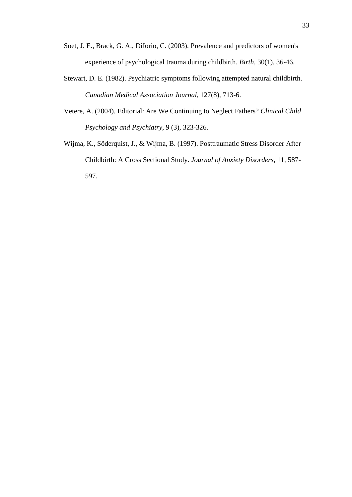- [Soet, J. E., Brack, G. A., DiIorio, C.](http://www.ncbi.nlm.nih.gov/entrez/query.fcgi?cmd=Retrieve&db=pubmed&dopt=Abstract&list_uids=12581038) (2003). Prevalence and predictors of women's experience of psychological trauma during childbirth. *Birth,* 30(1), 36-46.
- [Stewart, D. E.](http://www.ncbi.nlm.nih.gov/entrez/query.fcgi?cmd=Retrieve&db=pubmed&dopt=Abstract&list_uids=7139485) (1982). Psychiatric symptoms following attempted natural childbirth. *Canadian Medical Association Journal,* 127(8), 713-6.
- Vetere, A. (2004). Editorial: Are We Continuing to Neglect Fathers? *Clinical Child Psychology and Psychiatry*, 9 (3), 323-326.
- Wijma, K., Söderquist, J., & Wijma, B. (1997). Posttraumatic Stress Disorder After Childbirth: A Cross Sectional Study. *Journal of Anxiety Disorders,* 11, 587- 597.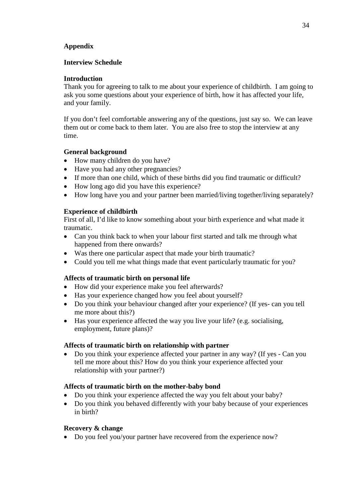## **Appendix**

## **Interview Schedule**

## **Introduction**

Thank you for agreeing to talk to me about your experience of childbirth. I am going to ask you some questions about your experience of birth, how it has affected your life, and your family.

If you don't feel comfortable answering any of the questions, just say so. We can leave them out or come back to them later. You are also free to stop the interview at any time.

## **General background**

- How many children do you have?
- Have you had any other pregnancies?
- If more than one child, which of these births did you find traumatic or difficult?
- How long ago did you have this experience?
- How long have you and your partner been married/living together/living separately?

## **Experience of childbirth**

First of all, I'd like to know something about your birth experience and what made it traumatic.

- Can you think back to when your labour first started and talk me through what happened from there onwards?
- Was there one particular aspect that made your birth traumatic?
- Could you tell me what things made that event particularly traumatic for you?

## **Affects of traumatic birth on personal life**

- How did your experience make you feel afterwards?
- Has your experience changed how you feel about yourself?
- Do you think your behaviour changed after your experience? (If yes- can you tell me more about this?)
- Has your experience affected the way you live your life? (e.g. socialising, employment, future plans)?

## **Affects of traumatic birth on relationship with partner**

• Do you think your experience affected your partner in any way? (If yes - Can you tell me more about this? How do you think your experience affected your relationship with your partner?)

## **Affects of traumatic birth on the mother-baby bond**

- Do you think your experience affected the way you felt about your baby?
- Do you think you behaved differently with your baby because of your experiences in birth?

## **Recovery & change**

• Do you feel you/your partner have recovered from the experience now?